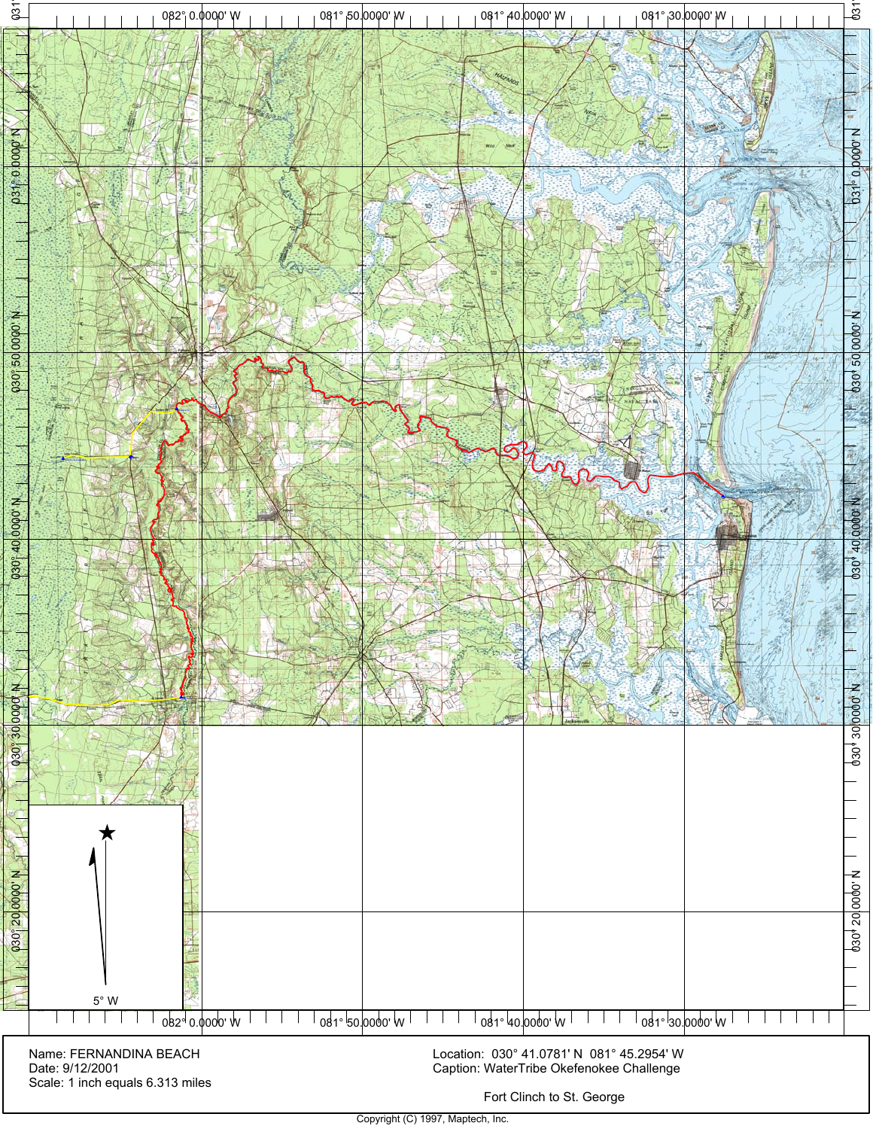